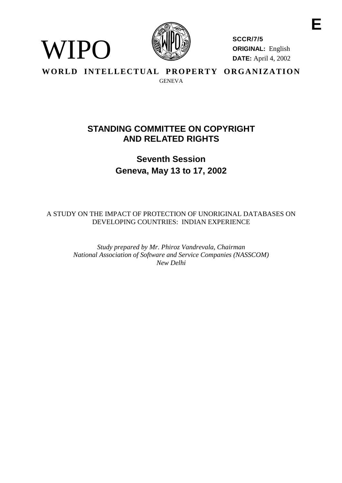

**SCCR/7/5 ORIGINAL:** English **DATE:** April 4, 2002

**WORLD INTELLECTUAL PROPERTY ORGANIZATION GENEVA** 

# **AND RELATED RIGHTS STANDING COMMITTEE ON COPYRIGHT**

**Seventh Session Geneva, May 13 to 17, 2002** 

 DEVELOPING COUNTRIES: INDIAN EXPERIENCE A STUDY ON THE IMPACT OF PROTECTION OF UNORIGINAL DATABASES ON

> *Study prepared by Mr. Phiroz Vandrevala, Chairman National Association of Software and Service Companies (NASSCOM) New Delhi*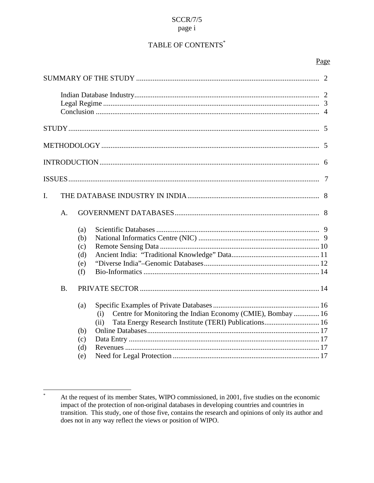# **SCCR/7/5** page i

# TABLE OF CONTENTS\*

# Page

| I.        |    |                                        |                                                                                                                                     |  |  |  |  |
|-----------|----|----------------------------------------|-------------------------------------------------------------------------------------------------------------------------------------|--|--|--|--|
|           | A. |                                        |                                                                                                                                     |  |  |  |  |
|           |    | (a)<br>(b)<br>(c)<br>(d)<br>(e)<br>(f) |                                                                                                                                     |  |  |  |  |
| <b>B.</b> |    |                                        |                                                                                                                                     |  |  |  |  |
|           |    | (a)<br>(b)                             | Centre for Monitoring the Indian Economy (CMIE), Bombay  16<br>(i)<br>Tata Energy Research Institute (TERI) Publications 16<br>(ii) |  |  |  |  |
|           |    | (c)                                    |                                                                                                                                     |  |  |  |  |
|           |    | (d)                                    |                                                                                                                                     |  |  |  |  |
|           |    | (e)                                    |                                                                                                                                     |  |  |  |  |

 $\ast$ At the request of its member States, WIPO commissioned, in 2001, five studies on the economic impact of the protection of non-original databases in developing countries and countries in transition. This study, one of those five, contains the research and opinions of only its author and does not in any way reflect the views or position of WIPO.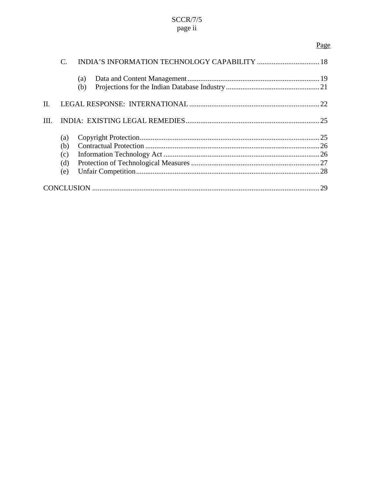# $SCCR/7/5$ page ii

# Page

<span id="page-2-0"></span>

|      |                                 | (a)<br>(b) |  |  |  |
|------|---------------------------------|------------|--|--|--|
| II.  |                                 |            |  |  |  |
| III. |                                 |            |  |  |  |
|      | (a)<br>(b)<br>(c)<br>(d)<br>(e) |            |  |  |  |
|      |                                 |            |  |  |  |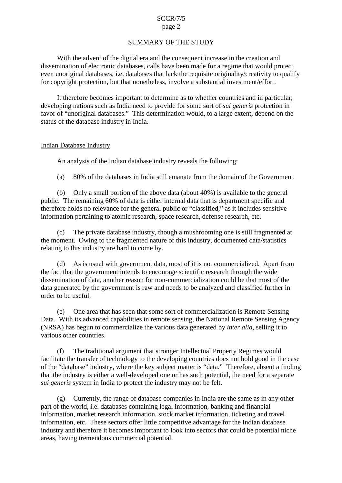# SUMMARY OF THE STUDY

<span id="page-3-0"></span>With the advent of the digital era and the consequent increase in the creation and dissemination of electronic databases, calls have been made for a regime that would protect even unoriginal databases, i.e. databases that lack the requisite originality/creativity to qualify for copyright protection, but that nonetheless, involve a substantial investment/effort.

It therefore becomes important to determine as to whether countries and in particular, developing nations such as India need to provide for some sort of *sui generis* protection in favor of "unoriginal databases." This determination would, to a large extent, depend on the status of the database industry in India.

# Indian Database Industry

An analysis of the Indian database industry reveals the following:

(a) 80% of the databases in India still emanate from the domain of the Government.

 (b) Only a small portion of the above data (about 40%) is available to the general public. The remaining 60% of data is either internal data that is department specific and therefore holds no relevance for the general public or "classified," as it includes sensitive information pertaining to atomic research, space research, defense research, etc.

(c) The private database industry, though a mushrooming one is still fragmented at the moment. Owing to the fragmented nature of this industry, documented data/statistics relating to this industry are hard to come by.

 (d) As is usual with government data, most of it is not commercialized. Apart from the fact that the government intends to encourage scientific research through the wide dissemination of data, another reason for non-commercialization could be that most of the data generated by the government is raw and needs to be analyzed and classified further in order to be useful.

(e) One area that has seen that some sort of commercialization is Remote Sensing Data. With its advanced capabilities in remote sensing, the National Remote Sensing Agency (NRSA) has begun to commercialize the various data generated by *inter alia*, selling it to various other countries.

 of the "database" industry, where the key subject matter is "data." Therefore, absent a finding *sui generis* system in India to protect the industry may not be felt. (f) The traditional argument that stronger Intellectual Property Regimes would facilitate the transfer of technology to the developing countries does not hold good in the case that the industry is either a well-developed one or has such potential, the need for a separate

 (g) Currently, the range of database companies in India are the same as in any other information, etc. These sectors offer little competitive advantage for the Indian database part of the world, i.e. databases containing legal information, banking and financial information, market research information, stock market information, ticketing and travel industry and therefore it becomes important to look into sectors that could be potential niche areas, having tremendous commercial potential.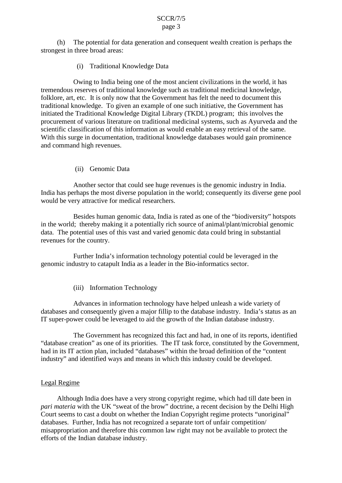<span id="page-4-0"></span>(h) The potential for data generation and consequent wealth creation is perhaps the strongest in three broad areas:

(i) Traditional Knowledge Data

 folklore, art, etc. It is only now that the Government has felt the need to document this procurement of various literature on traditional medicinal systems, such as Ayurveda and the scientific classification of this information as would enable an easy retrieval of the same. Owing to India being one of the most ancient civilizations in the world, it has tremendous reserves of traditional knowledge such as traditional medicinal knowledge, traditional knowledge. To given an example of one such initiative, the Government has initiated the Traditional Knowledge Digital Library (TKDL) program; this involves the With this surge in documentation, traditional knowledge databases would gain prominence and command high revenues.

(ii) Genomic Data

 India has perhaps the most diverse population in the world; consequently its diverse gene pool would be very attractive for medical researchers. Another sector that could see huge revenues is the genomic industry in India.

 in the world; thereby making it a potentially rich source of animal/plant/microbial genomic revenues for the country. Besides human genomic data, India is rated as one of the "biodiversity" hotspots data. The potential uses of this vast and varied genomic data could bring in substantial

Further India's information technology potential could be leveraged in the genomic industry to catapult India as a leader in the Bio-informatics sector.

(iii) Information Technology

 IT super-power could be leveraged to aid the growth of the Indian database industry. Advances in information technology have helped unleash a wide variety of databases and consequently given a major fillip to the database industry. India's status as an

The Government has recognized this fact and had, in one of its reports, identified "database creation" as one of its priorities. The IT task force, constituted by the Government, had in its IT action plan, included "databases" within the broad definition of the "content industry" and identified ways and means in which this industry could be developed.

# Legal Regime

Although India does have a very strong copyright regime, which had till date been in *pari materia* with the UK "sweat of the brow" doctrine, a recent decision by the Delhi High Court seems to cast a doubt on whether the Indian Copyright regime protects "unoriginal" databases. Further, India has not recognized a separate tort of unfair competition/ misappropriation and therefore this common law right may not be available to protect the efforts of the Indian database industry.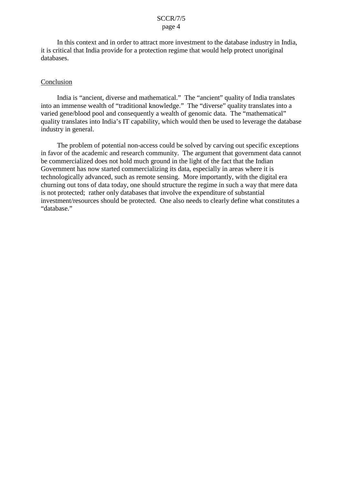<span id="page-5-0"></span>In this context and in order to attract more investment to the database industry in India, it is critical that India provide for a protection regime that would help protect unoriginal databases.

# **Conclusion**

India is "ancient, diverse and mathematical." The "ancient" quality of India translates into an immense wealth of "traditional knowledge." The "diverse" quality translates into a varied gene/blood pool and consequently a wealth of genomic data. The "mathematical" quality translates into India's IT capability, which would then be used to leverage the database industry in general.

 in favor of the academic and research community. The argument that government data cannot Government has now started commercializing its data, especially in areas where it is The problem of potential non-access could be solved by carving out specific exceptions be commercialized does not hold much ground in the light of the fact that the Indian technologically advanced, such as remote sensing. More importantly, with the digital era churning out tons of data today, one should structure the regime in such a way that mere data is not protected; rather only databases that involve the expenditure of substantial investment/resources should be protected. One also needs to clearly define what constitutes a "database."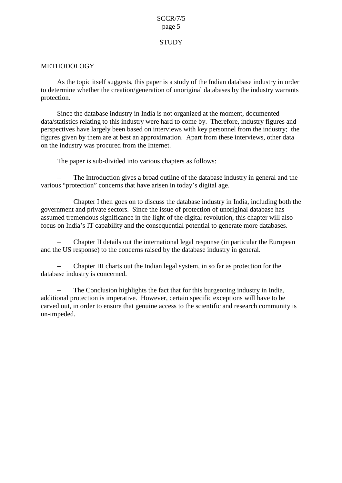# **STUDY**

# <span id="page-6-0"></span>METHODOLOGY

As the topic itself suggests, this paper is a study of the Indian database industry in order to determine whether the creation/generation of unoriginal databases by the industry warrants protection.

Since the database industry in India is not organized at the moment, documented data/statistics relating to this industry were hard to come by. Therefore, industry figures and perspectives have largely been based on interviews with key personnel from the industry; the figures given by them are at best an approximation. Apart from these interviews, other data on the industry was procured from the Internet.

The paper is sub-divided into various chapters as follows:

� The Introduction gives a broad outline of the database industry in general and the various "protection" concerns that have arisen in today's digital age.

- Chapter I then goes on to discuss the database industry in India, including both the government and private sectors. Since the issue of protection of unoriginal database has assumed tremendous significance in the light of the digital revolution, this chapter will also focus on India's IT capability and the consequential potential to generate more databases.

� Chapter II details out the international legal response (in particular the European and the US response) to the concerns raised by the database industry in general.

- Chapter III charts out the Indian legal system, in so far as protection for the database industry is concerned.

 carved out, in order to ensure that genuine access to the scientific and research community is � The Conclusion highlights the fact that for this burgeoning industry in India, additional protection is imperative. However, certain specific exceptions will have to be un-impeded.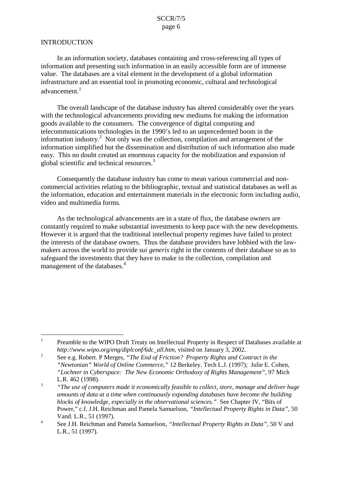# <span id="page-7-0"></span>**INTRODUCTION**

 In an information society, databases containing and cross-referencing all types of information and presenting such information in an easily accessible form are of immense value. The databases are a vital element in the development of a global information infrastructure and an essential tool in promoting economic, cultural and technological advancement.<sup>1</sup>

The overall landscape of the database industry has altered considerably over the years with the technological advancements providing new mediums for making the information goods available to the consumers. The convergence of digital computing and telecommunications technologies in the 1990's led to an unprecedented boom in the information industry.<sup>2</sup> Not only was the collection, compilation and arrangement of the information simplified but the dissemination and distribution of such information also made easy. This no doubt created an enormous capacity for the mobilization and expansion of global scientific and technical resources.<sup>3</sup>

 Consequently the database industry has come to mean various commercial and noncommercial activities relating to the bibliographic, textual and statistical databases as well as the information, education and entertainment materials in the electronic form including audio, video and multimedia forms.

As the technological advancements are in a state of flux, the database owners are constantly required to make substantial investments to keep pace with the new developments. However it is argued that the traditional intellectual property regimes have failed to protect the interests of the database owners. Thus the database providers have lobbied with the lawmakers across the world to provide *sui generis* right in the contents of their database so as to safeguard the investments that they have to make in the collection, compilation and management of the databases.<sup>4</sup>

<sup>&</sup>lt;sup>1</sup> Preamble to the WIPO Draft Treaty on Intellectual Property in Respect of Databases available at *http://www.wipo.org/eng/diplconf/6dc\_all.htm,* visited on January 3, 2002.

<sup>&</sup>lt;sup>2</sup> See e.g. Robert. P Merges, *"The End of Friction? Property Rights and Contract in the "Newtonian" World of Online Commerce,"* 12 Berkeley. Tech L.J. (1997); Julie E. Cohen,  *"Lochner in Cyberspace: The New Economic Orthodoxy of Rights Management"*, 97 Mich L.R. 462 (1998).

<sup>&</sup>lt;sup>3</sup> The use of computers made it economically feasible to collect, store, manage and deliver huge  *blocks of knowledge, especially in the observational sciences."* See Chapter IV, "Bits of *amounts of data at a time when continuously expanding databases have become the building*  Power," c.f. J.H. Reichman and Pamela Samuelson, *"Intellectual Property Rights in Data",* 50 Vand. L.R., 51 (1997).

<sup>&</sup>lt;sup>4</sup> See J.H. Reichman and Pamela Samuelson, *"Intellectual Property Rights in Data"*, 50 V and L.R., 51 (1997).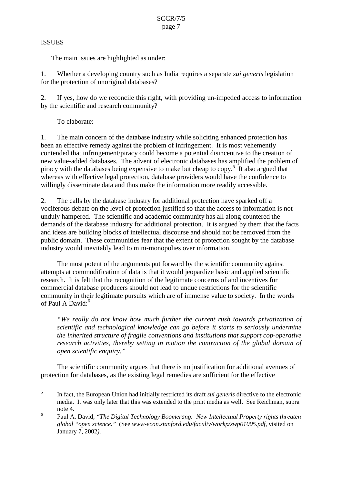# <span id="page-8-0"></span>**ISSUES**

The main issues are highlighted as under:

 1. Whether a developing country such as India requires a separate *sui generis* legislation for the protection of unoriginal databases?

2. If yes, how do we reconcile this right, with providing un-impeded access to information by the scientific and research community?

To elaborate:

1. The main concern of the database industry while soliciting enhanced protection has been an effective remedy against the problem of infringement. It is most vehemently contended that infringement/piracy could become a potential disincentive to the creation of new value-added databases. The advent of electronic databases has amplified the problem of piracy with the databases being expensive to make but cheap to  $\text{copy}^5$ . It also argued that whereas with effective legal protection, database providers would have the confidence to

 willingly disseminate data and thus make the information more readily accessible. 2. The calls by the database industry for additional protection have sparked off a demands of the database industry for additional protection. It is argued by them that the facts vociferous debate on the level of protection justified so that the access to information is not unduly hampered. The scientific and academic community has all along countered the and ideas are building blocks of intellectual discourse and should not be removed from the public domain. These communities fear that the extent of protection sought by the database industry would inevitably lead to mini-monopolies over information.

 The most potent of the arguments put forward by the scientific community against research. It is felt that the recognition of the legitimate concerns of and incentives for community in their legitimate pursuits which are of immense value to society. In the words attempts at commodification of data is that it would jeopardize basic and applied scientific commercial database producers should not lead to undue restrictions for the scientific of Paul A David:<sup>6</sup>

*"We really do not know how much further the current rush towards privatization of scientific and technological knowledge can go before it starts to seriously undermine the inherited structure of fragile conventions and institutions that support cop-operative research activities, thereby setting in motion the contraction of the global domain of open scientific enquiry."* 

The scientific community argues that there is no justification for additional avenues of protection for databases, as the existing legal remedies are sufficient for the effective

<sup>&</sup>lt;sup>5</sup> In fact, the European Union had initially restricted its draft *sui generis* directive to the electronic media. It was only later that this was extended to the print media as well. See Reichman, supra note 4.

<sup>&</sup>lt;sup>6</sup> Paul A. David, *"The Digital Technology Boomerang: New Intellectual Property rights threaten global "open science."* (See *www-econ.stanford.edu/faculty/workp/swp01005.pdf,* visited on January 7, 2002*)*.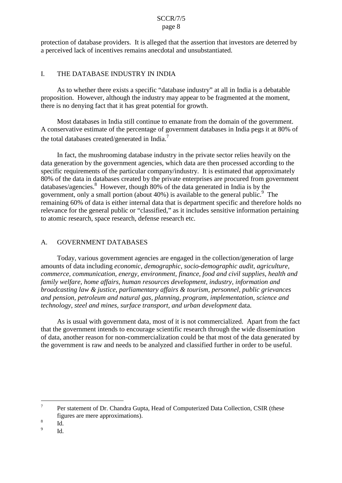<span id="page-9-0"></span>protection of database providers. It is alleged that the assertion that investors are deterred by a perceived lack of incentives remains anecdotal and unsubstantiated.

#### $\mathbf{I}$ THE DATABASE INDUSTRY IN INDIA

As to whether there exists a specific "database industry" at all in India is a debatable proposition. However, although the industry may appear to be fragmented at the moment, there is no denying fact that it has great potential for growth.

Most databases in India still continue to emanate from the domain of the government. A conservative estimate of the percentage of government databases in India pegs it at 80% of the total databases created/generated in India.<sup>7</sup>

 specific requirements of the particular company/industry. It is estimated that approximately databases/agencies.<sup>8</sup> However, though 80% of the data generated in India is by the to atomic research, space research, defense research etc. A. GOVERNMENT DATABASES In fact, the mushrooming database industry in the private sector relies heavily on the data generation by the government agencies, which data are then processed according to the 80% of the data in databases created by the private enterprises are procured from government government, only a small portion (about  $40\%$ ) is available to the general public.<sup>9</sup> The remaining 60% of data is either internal data that is department specific and therefore holds no relevance for the general public or "classified," as it includes sensitive information pertaining

# **GOVERNMENT DATABASES**

Today, various government agencies are engaged in the collection/generation of large amounts of data including *economic, demographic, socio-demographic audit, agriculture, commerce, communication, energy, environment, finance, food and civil supplies, health and family welfare, home affairs, human resources development, industry, information and broadcasting law & justice, parliamentary affairs & tourism, personnel, public grievances and pension, petroleum and natural gas, planning, program, implementation, science and technology, steel and mines, surface transport, and urban development* data.

 of data, another reason for non-commercialization could be that most of the data generated by As is usual with government data, most of it is not commercialized. Apart from the fact that the government intends to encourage scientific research through the wide dissemination the government is raw and needs to be analyzed and classified further in order to be useful.

 $Id.$ 

<sup>&</sup>lt;sup>7</sup> Per statement of Dr. Chandra Gupta, Head of Computerized Data Collection, CSIR (these figures are mere approximations).

 $\frac{8}{9}$  Id.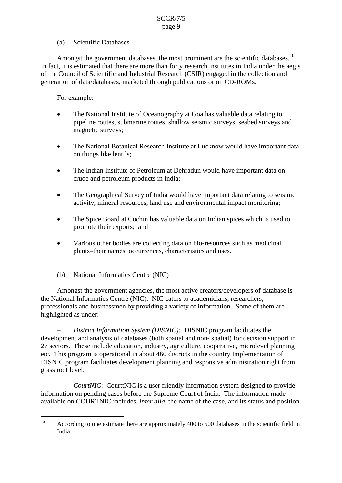# (a) Scientific Databases

<span id="page-10-0"></span>Amongst the government databases, the most prominent are the scientific databases.<sup>10</sup> In fact, it is estimated that there are more than forty research institutes in India under the aegis of the Council of Scientific and Industrial Research (CSIR) engaged in the collection and generation of data/databases, marketed through publications or on CD-ROMs.

For example:

- The National Institute of Oceanography at Goa has valuable data relating to pipeline routes, submarine routes, shallow seismic surveys, seabed surveys and magnetic surveys;
- The National Botanical Research Institute at Lucknow would have important data on things like lentils;
- The Indian Institute of Petroleum at Dehradun would have important data on crude and petroleum products in India;
- The Geographical Survey of India would have important data relating to seismic activity, mineral resources, land use and environmental impact monitoring;
- The Spice Board at Cochin has valuable data on Indian spices which is used to promote their exports; and
- Various other bodies are collecting data on bio-resources such as medicinal plants–their names, occurrences, characteristics and uses.
- (b) National Informatics Centre (NIC)

 Amongst the government agencies, the most active creators/developers of database is the National Informatics Centre (NIC). NIC caters to academicians, researchers, professionals and businessmen by providing a variety of information. Some of them are highlighted as under:

 DISNIC program facilitates development planning and responsive administration right from *– District Information System (DISNIC):* DISNIC program facilitates the development and analysis of databases (both spatial and non- spatial) for decision support in 27 sectors. These include education, industry, agriculture, cooperative, microlevel planning etc. This program is operational in about 460 districts in the country Implementation of grass root level.

 information on pending cases before the Supreme Court of India. The information made *CourtNIC*: CourttNIC is a user friendly information system designed to provide available on COURTNIC includes, *inter alia*, the name of the case, and its status and position.

 According to one estimate there are approximately 400 to 500 databases in the scientific field in India. 10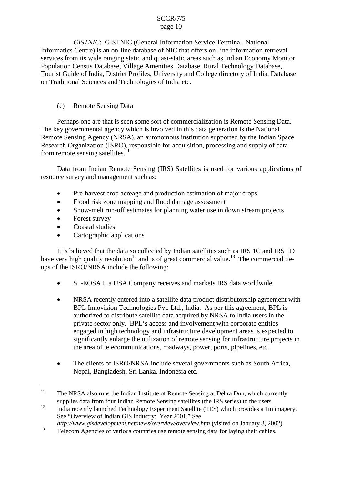<span id="page-11-0"></span> Population Census Database, Village Amenities Database, Rural Technology Database, *– GISTNIC*: GISTNIC (General Information Service Terminal–National Informatics Centre) is an on-line database of NIC that offers on-line information retrieval services from its wide ranging static and quasi-static areas such as Indian Economy Monitor Tourist Guide of India, District Profiles, University and College directory of India, Database on Traditional Sciences and Technologies of India etc.

# (c) Remote Sensing Data

Perhaps one are that is seen some sort of commercialization is Remote Sensing Data. The key governmental agency which is involved in this data generation is the National Remote Sensing Agency (NRSA), an autonomous institution supported by the Indian Space Research Organization (ISRO), responsible for acquisition, processing and supply of data from remote sensing satellites. $11$ 

Data from Indian Remote Sensing (IRS) Satellites is used for various applications of resource survey and management such as:

- Pre-harvest crop acreage and production estimation of major crops
- Flood risk zone mapping and flood damage assessment
- Snow-melt run-off estimates for planning water use in down stream projects
- Forest survey
- Coastal studies
- Cartographic applications

 It is believed that the data so collected by Indian satellites such as IRS 1C and IRS 1D have very high quality resolution<sup>12</sup> and is of great commercial value.<sup>13</sup> The commercial tieups of the ISRO/NRSA include the following:

- S1-EOSAT, a USA Company receives and markets IRS data worldwide.
- private sector only. BPL's access and involvement with corporate entities NRSA recently entered into a satellite data product distributorship agreement with BPL Innovision Technologies Pvt. Ltd., India. As per this agreement, BPL is authorized to distribute satellite data acquired by NRSA to India users in the engaged in high technology and infrastructure development areas is expected to significantly enlarge the utilization of remote sensing for infrastructure projects in the area of telecommunications, roadways, power, ports, pipelines, etc.
- The clients of ISRO/NRSA include several governments such as South Africa, Nepal, Bangladesh, Sri Lanka, Indonesia etc.

<sup>&</sup>lt;sup>11</sup> The NRSA also runs the Indian Institute of Remote Sensing at Dehra Dun, which currently supplies data from four Indian Remote Sensing satellites (the IRS series) to the users.

 $12$  India recently launched Technology Experiment Satellite (TES) which provides a 1m imagery. See "Overview of Indian GIS Industry: Year 2001," See

*http://www.gisdevelopment.net/news/overview/overview.htm* (visited on January 3, 2002)

<sup>&</sup>lt;sup>13</sup> Telecom Agencies of various countries use remote sensing data for laying their cables.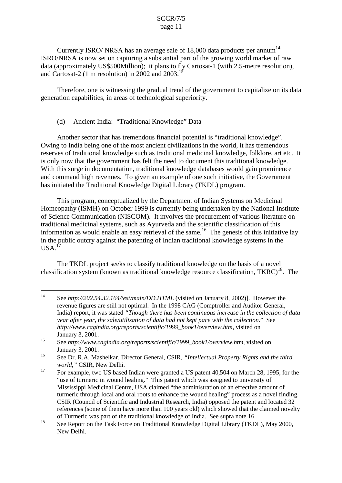<span id="page-12-0"></span> ISRO/NRSA is now set on capturing a substantial part of the growing world market of raw Currently ISRO/ NRSA has an average sale of  $18,000$  data products per annum<sup>14</sup> data (approximately US\$500Million); it plans to fly Cartosat-1 (with 2.5-metre resolution), and Cartosat-2 (1 m resolution) in 2002 and 2003.<sup>15</sup>

Therefore, one is witnessing the gradual trend of the government to capitalize on its data generation capabilities, in areas of technological superiority.

# (d) Ancient India: "Traditional Knowledge" Data

Another sector that has tremendous financial potential is "traditional knowledge". Owing to India being one of the most ancient civilizations in the world, it has tremendous reserves of traditional knowledge such as traditional medicinal knowledge, folklore, art etc. It is only now that the government has felt the need to document this traditional knowledge. With this surge in documentation, traditional knowledge databases would gain prominence and command high revenues. To given an example of one such initiative, the Government has initiated the Traditional Knowledge Digital Library (TKDL) program.

 This program, conceptualized by the Department of Indian Systems on Medicinal Homeopathy (ISMH) on October 1999 is currently being undertaken by the National Institute of Science Communication (NISCOM). It involves the procurement of various literature on traditional medicinal systems, such as Ayurveda and the scientific classification of this information as would enable an easy retrieval of the same.<sup>16</sup> The genesis of this initiative lay in the public outcry against the patenting of Indian traditional knowledge systems in the  $USA.<sup>17</sup>$ 

 The TKDL project seeks to classify traditional knowledge on the basis of a novel classification system (known as traditional knowledge resource classification,  $TKRC$ <sup>18</sup>. The

<sup>14</sup> See *http://202.54.32.164/test/main/DD.HTML* (visited on January 8, 2002)]. However the revenue figures are still not optimal. In the 1998 CAG (Comptroller and Auditor General, India) report, it was stated *"Though there has been continuous increase in the collection of data year after year, the sale/utilization of data had not kept pace with the collection.*" See *http://www.cagindia.org/reports/scientific/1999\_book1/overview.htm*, visited on January 3, 2001.

<sup>15</sup> See *http://www.cagindia.org/reports/scientific/1999\_book1/overview.htm*, visited on January 3, 2001.

<sup>16</sup> See Dr. R.A. Mashelkar, Director General, CSIR, *"Intellectual Property Rights and the third world,"* CSIR, New Delhi.

<sup>&</sup>lt;sup>17</sup> For example, two US based Indian were granted a US patent 40,504 on March 28, 1995, for the "use of turmeric in wound healing." This patent which was assigned to university of turmeric through local and oral roots to enhance the wound healing" process as a novel finding. references (some of them have more than 100 years old) which showed that the claimed novelty Mississippi Medicinal Centre, USA claimed "the administration of an effective amount of CSIR (Council of Scientific and Industrial Research, India) opposed the patent and located 32 of Turmeric was part of the traditional knowledge of India. See supra note 16.

<sup>&</sup>lt;sup>18</sup> See Report on the Task Force on Traditional Knowledge Digital Library (TKDL), May 2000, New Delhi.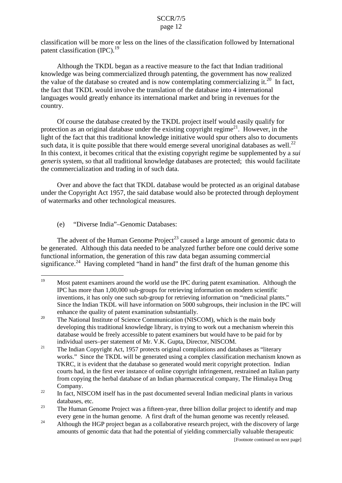<span id="page-13-0"></span>classification will be more or less on the lines of the classification followed by International patent classification  $(IPC).<sup>19</sup>$ 

 knowledge was being commercialized through patenting, the government has now realized Although the TKDL began as a reactive measure to the fact that Indian traditional the value of the database so created and is now contemplating commercializing it.<sup>20</sup> In fact, the fact that TKDL would involve the translation of the database into 4 international languages would greatly enhance its international market and bring in revenues for the country.

such data, it is quite possible that there would emerge several unoriginal databases as well.<sup>22</sup> Of course the database created by the TKDL project itself would easily qualify for protection as an original database under the existing copyright regime<sup>21</sup>. However, in the light of the fact that this traditional knowledge initiative would spur others also to documents In this context, it becomes critical that the existing copyright regime be supplemented by a *sui generis* system, so that all traditional knowledge databases are protected; this would facilitate the commercialization and trading in of such data.

Over and above the fact that TKDL database would be protected as an original database under the Copyright Act 1957, the said database would also be protected through deployment of watermarks and other technological measures.

(e) "Diverse India"–Genomic Databases:

 functional information, the generation of this raw data began assuming commercial The advent of the Human Genome Project<sup>23</sup> caused a large amount of genomic data to be generated. Although this data needed to be analyzed further before one could derive some significance.<sup>24</sup> Having completed "hand in hand" the first draft of the human genome this

inventions, it has only one such sub-group for retrieving information on "medicinal plants." <sup>19</sup> Most patent examiners around the world use the IPC during patent examination. Although the IPC has more than 1,00,000 sub-groups for retrieving information on modern scientific Since the Indian TKDL will have information on 5000 subgroups, their inclusion in the IPC will enhance the quality of patent examination substantially.

 developing this traditional knowledge library, is trying to work out a mechanism wherein this <sup>20</sup> The National Institute of Science Communication (NISCOM), which is the main body database would be freely accessible to patent examiners but would have to be paid for by individual users–per statement of Mr. V.K. Gupta, Director, NISCOM.

 works." Since the TKDL will be generated using a complex classification mechanism known as courts had, in the first ever instance of online copyright infringement, restrained an Italian party <sup>21</sup> The Indian Copyright Act, 1957 protects original compilations and databases as "literary" TKRC, it is evident that the database so generated would merit copyright protection. Indian from copying the herbal database of an Indian pharmaceutical company, The Himalaya Drug Company.

 $22$  In fact, NISCOM itself has in the past documented several Indian medicinal plants in various databases, etc.

 $23$  The Human Genome Project was a fifteen-year, three billion dollar project to identify and map every gene in the human genome. A first draft of the human genome was recently released.

<sup>&</sup>lt;sup>24</sup> Although the HGP project began as a collaborative research project, with the discovery of large amounts of genomic data that had the potential of yielding commercially valuable therapeutic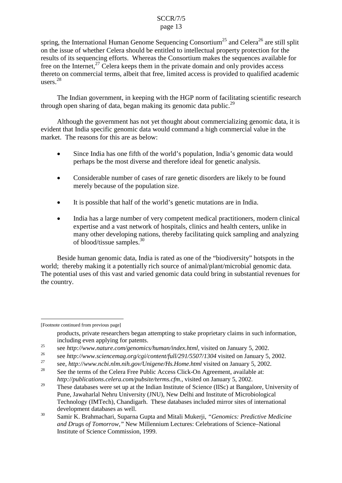spring, the International Human Genome Sequencing Consortium<sup>25</sup> and Celera<sup>26</sup> are still split on the issue of whether Celera should be entitled to intellectual property protection for the results of its sequencing efforts. Whereas the Consortium makes the sequences available for free on the Internet,  $27$  Celera keeps them in the private domain and only provides access thereto on commercial terms, albeit that free, limited access is provided to qualified academic users.<sup>28</sup>

 The Indian government, in keeping with the HGP norm of facilitating scientific research through open sharing of data, began making its genomic data public.<sup>29</sup>

Although the government has not yet thought about commercializing genomic data, it is evident that India specific genomic data would command a high commercial value in the market. The reasons for this are as below:

- perhaps be the most diverse and therefore ideal for genetic analysis. Since India has one fifth of the world's population, India's genomic data would
- Considerable number of cases of rare genetic disorders are likely to be found merely because of the population size.
- $\bullet$  It is possible that half of the world's genetic mutations are in India.
- India has a large number of very competent medical practitioners, modern clinical expertise and a vast network of hospitals, clinics and health centers, unlike in many other developing nations, thereby facilitating quick sampling and analyzing of blood/tissue samples. $30$

world; thereby making it a potentially rich source of animal/plant/microbial genomic data. Beside human genomic data, India is rated as one of the "biodiversity" hotspots in the The potential uses of this vast and varied genomic data could bring in substantial revenues for the country.

[Footnote continued from previous page]

products, private researchers began attempting to stake proprietary claims in such information, including even applying for patents.

<sup>&</sup>lt;sup>25</sup> see *http://www.nature.com/genomics/human/index.html*, visited on January 5, 2002.

<sup>&</sup>lt;sup>26</sup> see *http://www.sciencemag.org/cgi/content/full/291/5507/1304* visited on January 5, 2002.

<sup>27</sup> see, *http://www.ncbi.nlm.nih.gov/Unigene/Hs.Home.html* visited on January 5, 2002.

See the terms of the Celera Free Public Access Click-On Agreement, available at: *http://publications.celera.com/pubsite/terms.cfm*., visited on January 5, 2002.

 Pune, Jawaharlal Nehru University (JNU), New Delhi and Institute of Microbiological Technology (IMTech), Chandigarh. These databases included mirror sites of international <sup>29</sup> These databases were set up at the Indian Institute of Science (IISc) at Bangalore, University of development databases as well.

 30 Samir K. Brahmachari, Suparna Gupta and Mitali Mukerji, *"Genomics: Predictive Medicine and Drugs of Tomorrow,"* New Millennium Lectures: Celebrations of Science–National Institute of Science Commission, 1999.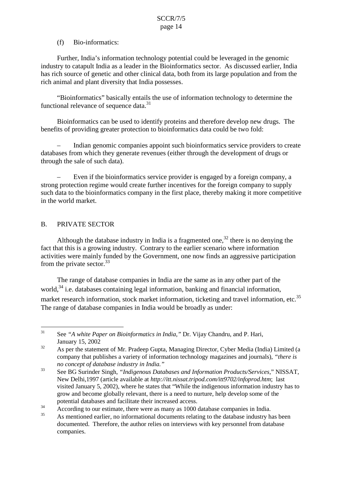# (f) Bio-informatics:

<span id="page-15-0"></span> Further, India's information technology potential could be leveraged in the genomic industry to catapult India as a leader in the Bioinformatics sector. As discussed earlier, India has rich source of genetic and other clinical data, both from its large population and from the rich animal and plant diversity that India possesses.

"Bioinformatics" basically entails the use of information technology to determine the functional relevance of sequence data. $31$ 

 Bioinformatics can be used to identify proteins and therefore develop new drugs. The benefits of providing greater protection to bioinformatics data could be two fold:

benefits of providing greater protection to bioinformatics data could be two fold:<br>- Indian genomic companies appoint such bioinformatics service providers to create databases from which they generate revenues (either through the development of drugs or through the sale of such data).

– Even if the bioinformatics service provider is engaged by a foreign company, a strong protection regime would create further incentives for the foreign company to supply such data to the bioinformatics company in the first place, thereby making it more competitive in the world market.

# B. PRIVATE SECTOR

Although the database industry in India is a fragmented one,  $32$  there is no denying the fact that this is a growing industry. Contrary to the earlier scenario where information activities were mainly funded by the Government, one now finds an aggressive participation from the private sector.<sup>33</sup>

The range of database companies in India are the same as in any other part of the world, $34$  i.e. databases containing legal information, banking and financial information, market research information, stock market information, ticketing and travel information, etc.<sup>35</sup> The range of database companies in India would be broadly as under:

<sup>31</sup> See *"A white Paper on Bioinformatics in India,"* Dr. Vijay Chandru, and P. Hari, January 15, 2002

 $32\,$  company that publishes a variety of information technology magazines and journals), *"there is no concept of database industry in India."*  As per the statement of Mr. Pradeep Gupta, Managing Director, Cyber Media (India) Limited (a

 visited January 5, 2002), where he states that "While the indigenous information industry has to 33 See BG Surinder Singh, *"Indigenous Databases and Information Products/Services,*" NISSAT, New Delhi,1997 (article available at *http://itt.nissat.tripod.com/itt9702/infoprod.htm*; last grow and become globally relevant, there is a need to nurture, help develop some of the potential databases and facilitate their increased access.

<sup>&</sup>lt;sup>34</sup> According to our estimate, there were as many as 1000 database companies in India.

 $35$  As mentioned earlier, no informational documents relating to the database industry has been documented. Therefore, the author relies on interviews with key personnel from database companies.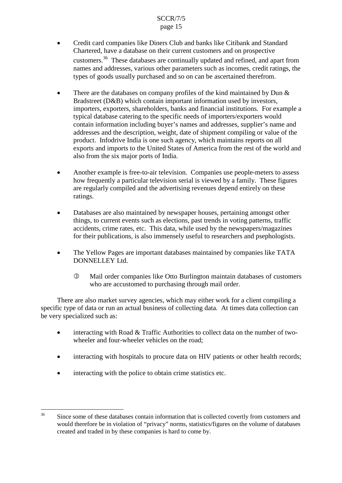- customers.<sup>36</sup> These databases are continually updated and refined, and apart from � Credit card companies like Diners Club and banks like Citibank and Standard Chartered, have a database on their current customers and on prospective names and addresses, various other parameters such as incomes, credit ratings, the types of goods usually purchased and so on can be ascertained therefrom.
- typical database catering to the specific needs of importers/exporters would addresses and the description, weight, date of shipment compiling or value of the product. Infodrive India is one such agency, which maintains reports on all There are the databases on company profiles of the kind maintained by Dun  $\&$ Bradstreet (D&B) which contain important information used by investors, importers, exporters, shareholders, banks and financial institutions. For example a contain information including buyer's names and addresses, supplier's name and exports and imports to the United States of America from the rest of the world and also from the six major ports of India.
- ratings. Another example is free-to-air television. Companies use people-meters to assess how frequently a particular television serial is viewed by a family. These figures are regularly compiled and the advertising revenues depend entirely on these
- Databases are also maintained by newspaper houses, pertaining amongst other things, to current events such as elections, past trends in voting patterns, traffic accidents, crime rates, etc. This data, while used by the newspapers/magazines for their publications, is also immensely useful to researchers and psephologists.
- DONNELLEY Ltd. The Yellow Pages are important databases maintained by companies like TATA
	- � Mail order companies like Otto Burlington maintain databases of customers who are accustomed to purchasing through mail order.

 be very specialized such as: There are also market survey agencies, which may either work for a client compiling a specific type of data or run an actual business of collecting data. At times data collection can

- interacting with Road & Traffic Authorities to collect data on the number of twowheeler and four-wheeler vehicles on the road;
- interacting with hospitals to procure data on HIV patients or other health records;
- interacting with the police to obtain crime statistics etc.

 36 Since some of these databases contain information that is collected covertly from customers and would therefore be in violation of "privacy" norms, statistics/figures on the volume of databases created and traded in by these companies is hard to come by.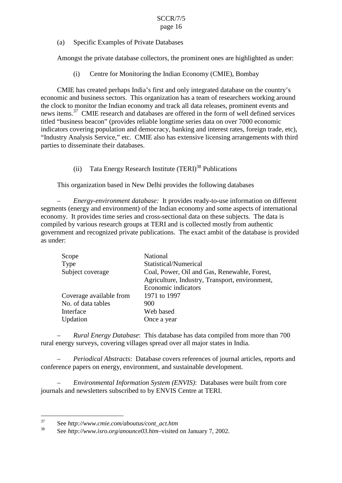<span id="page-17-0"></span>(a) Specific Examples of Private Databases

Amongst the private database collectors, the prominent ones are highlighted as under:

(i) Centre for Monitoring the Indian Economy (CMIE), Bombay

 CMIE has created perhaps India's first and only integrated database on the country's parties to disseminate their databases. economic and business sectors. This organization has a team of researchers working around the clock to monitor the Indian economy and track all data releases, prominent events and news items.<sup>37</sup> CMIE research and databases are offered in the form of well defined services titled "business beacon" (provides reliable longtime series data on over 7000 economic indicators covering population and democracy, banking and interest rates, foreign trade, etc), "Industry Analysis Service," etc. CMIE also has extensive licensing arrangements with third

(ii) Tata Energy Research Institute (TERI)<sup>38</sup> Publications

This organization based in New Delhi provides the following databases

*– Energy-environment database:* It provides ready-to-use information on different segments (energy and environment) of the Indian economy and some aspects of international economy. It provides time series and cross-sectional data on these subjects. The data is compiled by various research groups at TERI and is collected mostly from authentic government and recognized private publications. The exact ambit of the database is provided as under:

| Scope                   | National                                       |
|-------------------------|------------------------------------------------|
| Type                    | Statistical/Numerical                          |
| Subject coverage        | Coal, Power, Oil and Gas, Renewable, Forest,   |
|                         | Agriculture, Industry, Transport, environment, |
|                         | Economic indicators                            |
| Coverage available from | 1971 to 1997                                   |
| No. of data tables      | 900                                            |
| Interface               | Web based                                      |
| Updation                | Once a year                                    |
|                         |                                                |

 rural energy surveys, covering villages spread over all major states in India. *– Rural Energy Database*: This database has data compiled from more than 700

 *– Periodical Abstracts*: Database covers references of journal articles, reports and conference papers on energy, environment, and sustainable development.

*– Environmental Information System (ENVIS)*: Databases were built from core journals and newsletters subscribed to by ENVIS Centre at TERI.

<sup>37</sup> See *http://www.cmie.com/aboutus/cont\_act.htm* 

<sup>38</sup> See *http://www.isro.org/anounce03.htm*–visited on January 7, 2002.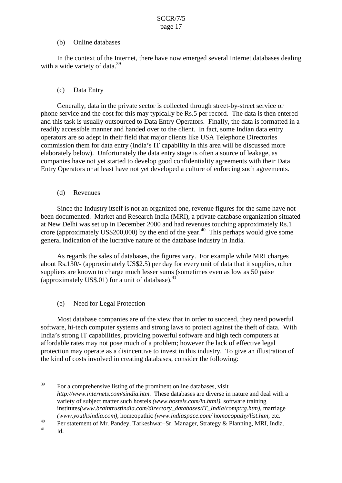# (b) Online databases

<span id="page-18-0"></span>In the context of the Internet, there have now emerged several Internet databases dealing with a wide variety of data. $39$ 

# (c) Data Entry

 operators are so adept in their field that major clients like USA Telephone Directories commission them for data entry (India's IT capability in this area will be discussed more elaborately below). Unfortunately the data entry stage is often a source of leakage, as Generally, data in the private sector is collected through street-by-street service or phone service and the cost for this may typically be Rs.5 per record. The data is then entered and this task is usually outsourced to Data Entry Operators. Finally, the data is formatted in a readily accessible manner and handed over to the client. In fact, some Indian data entry companies have not yet started to develop good confidentiality agreements with their Data Entry Operators or at least have not yet developed a culture of enforcing such agreements.

# (d) Revenues

crore (approximately US\$200,000) by the end of the year.<sup>40</sup> This perhaps would give some Since the Industry itself is not an organized one, revenue figures for the same have not been documented. Market and Research India (MRI), a private database organization situated at New Delhi was set up in December 2000 and had revenues touching approximately Rs.1 general indication of the lucrative nature of the database industry in India.

 As regards the sales of databases, the figures vary. For example while MRI charges about Rs.130/- (approximately US\$2.5) per day for every unit of data that it supplies, other suppliers are known to charge much lesser sums (sometimes even as low as 50 paise (approximately US\$.01) for a unit of database). $41$ 

 $(e)$ Need for Legal Protection

 India's strong IT capabilities, providing powerful software and high tech computers at Most database companies are of the view that in order to succeed, they need powerful software, hi-tech computer systems and strong laws to protect against the theft of data. With affordable rates may not pose much of a problem; however the lack of effective legal protection may operate as a disincentive to invest in this industry. To give an illustration of the kind of costs involved in creating databases, consider the following:

 $39$  For a comprehensive listing of the prominent online databases, visit *http://www.internets.com/sindia.htm*. These databases are diverse in nature and deal with a variety of subject matter such hostels *(www.hostels.com/in.html)*, software training institutes*(www.braintrustindia.com/directory\_databases/IT\_India/comptrg.htm),* marriage *(www.youthsindia.com),* homeopathic *(www.indiaspace.com/ homoeopathy/list.htm,* etc.

<sup>&</sup>lt;sup>40</sup> Per statement of Mr. Pandey, Tarkeshwar–Sr. Manager, Strategy & Planning, MRI, India.

 $\mathbf{h}$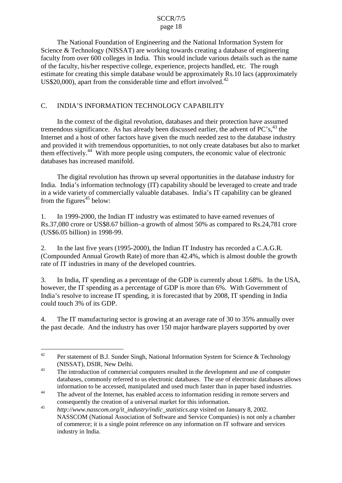<span id="page-19-0"></span> The National Foundation of Engineering and the National Information System for Science & Technology (NISSAT) are working towards creating a database of engineering faculty from over 600 colleges in India. This would include various details such as the name of the faculty, his/her respective college, experience, projects handled, etc. The rough estimate for creating this simple database would be approximately Rs.10 lacs (approximately US\$20,000), apart from the considerable time and effort involved. $42$ 

# C. INDIA'S INFORMATION TECHNOLOGY CAPABILITY

 Internet and a host of other factors have given the much needed zest to the database industry databases has increased manifold. In the context of the digital revolution, databases and their protection have assumed tremendous significance. As has already been discussed earlier, the advent of  $PC$ 's,  $^{43}$  the and provided it with tremendous opportunities, to not only create databases but also to market them effectively.44 With more people using computers, the economic value of electronic

 India. India's information technology (IT) capability should be leveraged to create and trade in a wide variety of commercially valuable databases. India's IT capability can be gleaned The digital revolution has thrown up several opportunities in the database industry for from the figures<sup> $45$ </sup> below:

1. In 1999-2000, the Indian IT industry was estimated to have earned revenues of Rs.37,080 crore or US\$8.67 billion–a growth of almost 50% as compared to Rs.24,781 crore (US\$6.05 billion) in 1998-99.

 2. In the last five years (1995-2000), the Indian IT Industry has recorded a C.A.G.R. (Compounded Annual Growth Rate) of more than 42.4%, which is almost double the growth rate of IT industries in many of the developed countries.

 3. In India, IT spending as a percentage of the GDP is currently about 1.68%. In the USA, however, the IT spending as a percentage of GDP is more than 6%. With Government of India's resolve to increase IT spending, it is forecasted that by 2008, IT spending in India could touch 3% of its GDP.

4. The IT manufacturing sector is growing at an average rate of 30 to 35% annually over the past decade. And the industry has over 150 major hardware players supported by over

<sup>&</sup>lt;sup>42</sup> Per statement of B.J. Sunder Singh, National Information System for Science & Technology (NISSAT), DSIR, New Delhi.

<sup>&</sup>lt;sup>43</sup> The introduction of commercial computers resulted in the development and use of computer databases, commonly referred to us electronic databases. The use of electronic databases allows information to be accessed, manipulated and used much faster than in paper based industries.

<sup>&</sup>lt;sup>44</sup> The advent of the Internet, has enabled access to information residing in remote servers and consequently the creation of a universal market for this information.

 NASSCOM (National Association of Software and Service Companies) is not only a chamber <sup>45</sup>*http://www.nasscom.org/it\_industry/indic\_statistics.asp* visited on January 8, 2002. of commerce; it is a single point reference on any information on IT software and services industry in India.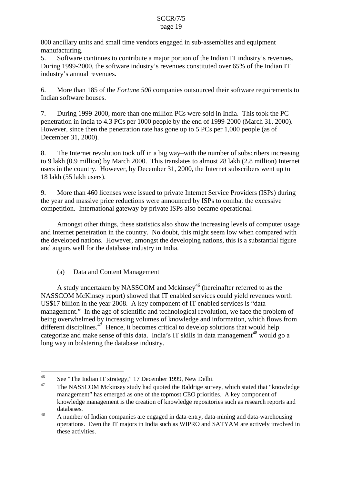<span id="page-20-0"></span>800 ancillary units and small time vendors engaged in sub-assemblies and equipment manufacturing.

 During 1999-2000, the software industry's revenues constituted over 65% of the Indian IT 5. Software continues to contribute a major portion of the Indian IT industry's revenues. industry's annual revenues.

6. More than 185 of the *Fortune 500* companies outsourced their software requirements to Indian software houses.

 penetration in India to 4.3 PCs per 1000 people by the end of 1999-2000 (March 31, 2000). 7. During 1999-2000, more than one million PCs were sold in India. This took the PC However, since then the penetration rate has gone up to 5 PCs per 1,000 people (as of December 31, 2000).

 to 9 lakh (0.9 million) by March 2000. This translates to almost 28 lakh (2.8 million) Internet 8. The Internet revolution took off in a big way–with the number of subscribers increasing users in the country. However, by December 31, 2000, the Internet subscribers went up to 18 lakh (55 lakh users).

9. More than 460 licenses were issued to private Internet Service Providers (ISPs) during the year and massive price reductions were announced by ISPs to combat the excessive competition. International gateway by private ISPs also became operational.

 and augurs well for the database industry in India. Amongst other things, these statistics also show the increasing levels of computer usage and Internet penetration in the country. No doubt, this might seem low when compared with the developed nations. However, amongst the developing nations, this is a substantial figure

(a) Data and Content Management

 management." In the age of scientific and technological revolution, we face the problem of categorize and make sense of this data. India's IT skills in data management<sup>48</sup> would go a A study undertaken by NASSCOM and Mckinsey<sup>46</sup> (hereinafter referred to as the NASSCOM McKinsey report) showed that IT enabled services could yield revenues worth US\$17 billion in the year 2008. A key component of IT enabled services is "data being overwhelmed by increasing volumes of knowledge and information, which flows from different disciplines. $47$  Hence, it becomes critical to develop solutions that would help long way in bolstering the database industry.

<sup>&</sup>lt;sup>46</sup> See "The Indian IT strategy," 17 December 1999, New Delhi.

 management" has emerged as one of the topmost CEO priorities. A key component of The NASSCOM Mckinsey study had quoted the Baldrige survey, which stated that "knowledge" knowledge management is the creation of knowledge repositories such as research reports and databases.

<sup>&</sup>lt;sup>48</sup> A number of Indian companies are engaged in data-entry, data-mining and data-warehousing operations. Even the IT majors in India such as WIPRO and SATYAM are actively involved in these activities.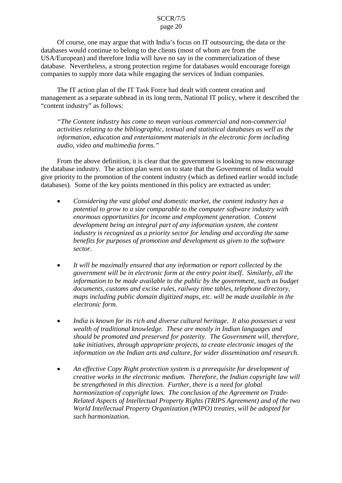databases would continue to belong to the clients (most of whom are from the Of course, one may argue that with India's focus on IT outsourcing, the data or the USA/European) and therefore India will have no say in the commercialization of these database. Nevertheless, a strong protection regime for databases would encourage foreign companies to supply more data while engaging the services of Indian companies.

 "content industry" as follows: The IT action plan of the IT Task Force had dealt with content creation and management as a separate subhead in its long term, National IT policy, where it described the

 *audio, video and multimedia forms." "The Content industry has come to mean various commercial and non-commercial activities relating to the bibliographic, textual and statistical databases as well as the information, education and entertainment materials in the electronic form including* 

From the above definition, it is clear that the government is looking to now encourage the database industry. The action plan went on to state that the Government of India would give priority to the promotion of the content industry (which as defined earlier would include databases). Some of the key points mentioned in this policy are extracted as under:

- Considering the vast global and domestic market, the content industry has a *potential to grow to a size comparable to the computer software industry with enormous opportunities for income and employment generation. Content development being an integral part of any information system, the content industry is recognized as a priority sector for lending and according the same benefits for purposes of promotion and development as given to the software sector.*
- It will be maximally ensured that any information or report collected by the *government will be in electronic form at the entry point itself. Similarly, all the information to be made available to the public by the government, such as budget documents, customs and excise rules, railway time tables, telephone directory, maps including public domain digitized maps, etc. will be made available in the electronic form.*
- India is known for its rich and diverse cultural heritage. It also possesses a vast *wealth of traditional knowledge. These are mostly in Indian languages and should be promoted and preserved for posterity. The Government will, therefore, take initiatives, through appropriate projects, to create electronic images of the information on the Indian arts and culture, for wider dissemination and research.*
- An effective Copy Right protection system is a prerequisite for development of *creative works in the electronic medium. Therefore, the Indian copyright law will be strengthened in this direction. Further, there is a need for global harmonization of copyright laws. The conclusion of the Agreement on Trade-Related Aspects of Intellectual Property Rights (TRIPS Agreement) and of the two World Intellectual Property Organization (WIPO) treaties, will be adopted for such harmonization.*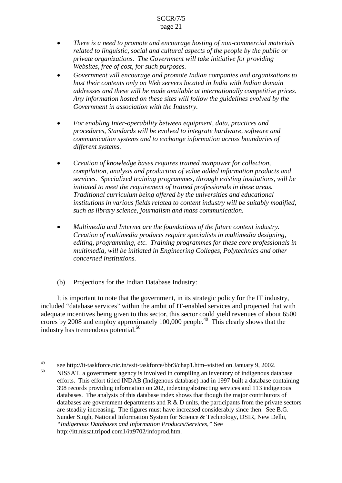- <span id="page-22-0"></span> *related to linguistic, social and cultural aspects of the people by the public or*  There is a need to promote and encourage hosting of non-commercial materials *private organizations. The Government will take initiative for providing Websites, free of cost, for such purposes.*
- *Any information hosted on these sites will follow the guidelines evolved by the*  Government will encourage and promote Indian companies and organizations to *host their contents only on Web servers located in India with Indian domain addresses and these will be made available at internationally competitive prices. Government in association with the Industry.*
- For enabling Inter-operability between equipment, data, practices and *procedures, Standards will be evolved to integrate hardware, software and communication systems and to exchange information across boundaries of different systems.*
- *Creation of knowledge bases requires trained manpower for collection, compilation, analysis and production of value added information products and services. Specialized training programmes, through existing institutions, will be initiated to meet the requirement of trained professionals in these areas. Traditional curriculum being offered by the universities and educational institutions in various fields related to content industry will be suitably modified, such as library science, journalism and mass communication.*
- *Multimedia and Internet are the foundations of the future content industry. Creation of multimedia products require specialists in multimedia designing, editing, programming, etc. Training programmes for these core professionals in multimedia, will be initiated in Engineering Colleges, Polytechnics and other concerned institutions.*
- (b) Projections for the Indian Database Industry:

 It is important to note that the government, in its strategic policy for the IT industry, industry has tremendous potential.<sup>50</sup> included "database services" within the ambit of IT-enabled services and projected that with adequate incentives being given to this sector, this sector could yield revenues of about 6500 crores by 2008 and employ approximately 100,000 people.<sup>49</sup> This clearly shows that the

<sup>&</sup>lt;sup>49</sup> see http://it-taskforce.nic.in/vsit-taskforce/bbr3/chap1.htm–visited on January 9, 2002.

 databases. The analysis of this database index shows that though the major contributors of are steadily increasing. The figures must have increased considerably since then. See B.G. NISSAT, a government agency is involved in compiling an inventory of indigenous database efforts. This effort titled INDAB (Indigenous database) had in 1997 built a database containing 398 records providing information on 202, indexing/abstracting services and 113 indigenous databases are government departments and  $R \& D$  units, the participants from the private sectors Sunder Singh, National Information System for Science & Technology, DSIR, New Delhi, *"Indigenous Databases and Information Products/Services,"* See http://itt.nissat.tripod.com1/itt9702/infoprod.htm.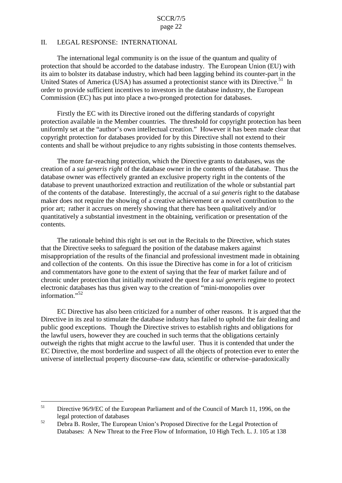### <span id="page-23-0"></span>II. LEGAL RESPONSE: INTERNATIONAL

The international legal community is on the issue of the quantum and quality of protection that should be accorded to the database industry. The European Union (EU) with its aim to bolster its database industry, which had been lagging behind its counter-part in the United States of America (USA) has assumed a protectionist stance with its Directive.<sup>51</sup> In order to provide sufficient incentives to investors in the database industry, the European Commission (EC) has put into place a two-pronged protection for databases.

Firstly the EC with its Directive ironed out the differing standards of copyright protection available in the Member countries. The threshold for copyright protection has been uniformly set at the "author's own intellectual creation." However it has been made clear that copyright protection for databases provided for by this Directive shall not extend to their contents and shall be without prejudice to any rights subsisting in those contents themselves.

 of the contents of the database. Interestingly, the accrual of a *sui generis* right to the database prior art; rather it accrues on merely showing that there has been qualitatively and/or The more far-reaching protection, which the Directive grants to databases, was the creation of a *sui generis right* of the database owner in the contents of the database. Thus the database owner was effectively granted an exclusive property right in the contents of the database to prevent unauthorized extraction and reutilization of the whole or substantial part maker does not require the showing of a creative achievement or a novel contribution to the quantitatively a substantial investment in the obtaining, verification or presentation of the contents.

 and collection of the contents. On this issue the Directive has come in for a lot of criticism and commentators have gone to the extent of saying that the fear of market failure and of The rationale behind this right is set out in the Recitals to the Directive, which states that the Directive seeks to safeguard the position of the database makers against misappropriation of the results of the financial and professional investment made in obtaining chronic under protection that initially motivated the quest for a *sui generis* regime to protect electronic databases has thus given way to the creation of "mini-monopolies over information."<sup>52</sup>

 outweigh the rights that might accrue to the lawful user. Thus it is contended that under the EC Directive has also been criticized for a number of other reasons. It is argued that the Directive in its zeal to stimulate the database industry has failed to uphold the fair dealing and public good exceptions. Though the Directive strives to establish rights and obligations for the lawful users, however they are couched in such terms that the obligations certainly EC Directive, the most borderline and suspect of all the objects of protection ever to enter the universe of intellectual property discourse–raw data, scientific or otherwise–paradoxically

<sup>&</sup>lt;sup>51</sup> Directive 96/9/EC of the European Parliament and of the Council of March 11, 1996, on the legal protection of databases

<sup>&</sup>lt;sup>52</sup> Debra B. Rosler, The European Union's Proposed Directive for the Legal Protection of Databases: A New Threat to the Free Flow of Information, 10 High Tech. L. J. 105 at 138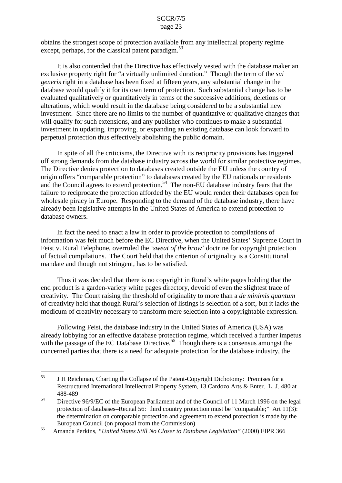obtains the strongest scope of protection available from any intellectual property regime except, perhaps, for the classical patent paradigm.  $53$ 

 investment in updating, improving, or expanding an existing database can look forward to It is also contended that the Directive has effectively vested with the database maker an exclusive property right for "a virtually unlimited duration." Though the term of the *sui generis* right in a database has been fixed at fifteen years, any substantial change in the database would qualify it for its own term of protection. Such substantial change has to be evaluated qualitatively or quantitatively in terms of the successive additions, deletions or alterations, which would result in the database being considered to be a substantial new investment. Since there are no limits to the number of quantitative or qualitative changes that will qualify for such extensions, and any publisher who continues to make a substantial perpetual protection thus effectively abolishing the public domain.

and the Council agrees to extend protection.<sup>54</sup> The non-EU database industry fears that the database owners. In spite of all the criticisms, the Directive with its reciprocity provisions has triggered off strong demands from the database industry across the world for similar protective regimes. The Directive denies protection to databases created outside the EU unless the country of origin offers "comparable protection" to databases created by the EU nationals or residents failure to reciprocate the protection afforded by the EU would render their databases open for wholesale piracy in Europe. Responding to the demand of the database industry, there have already been legislative attempts in the United States of America to extend protection to

In fact the need to enact a law in order to provide protection to compilations of information was felt much before the EC Directive, when the United States' Supreme Court in Feist v. Rural Telephone, overruled the *'sweat of the brow'* doctrine for copyright protection of factual compilations. The Court held that the criterion of originality is a Constitutional mandate and though not stringent, has to be satisfied.

 creativity. The Court raising the threshold of originality to more than a *de minimis quantum*  Thus it was decided that there is no copyright in Rural's white pages holding that the end product is a garden-variety white pages directory, devoid of even the slightest trace of of creativity held that though Rural's selection of listings is selection of a sort, but it lacks the modicum of creativity necessary to transform mere selection into a copyrightable expression.

Following Feist, the database industry in the United States of America (USA) was already lobbying for an effective database protection regime, which received a further impetus with the passage of the EC Database Directive.<sup>55</sup> Though there is a consensus amongst the concerned parties that there is a need for adequate protection for the database industry, the

<sup>&</sup>lt;sup>53</sup> J H Reichman, Charting the Collapse of the Patent-Copyright Dichotomy: Premises for a Restructured International Intellectual Property System, 13 Cardozo Arts & Enter. L. J. 480 at 488-489

<sup>&</sup>lt;sup>54</sup> Directive 96/9/EC of the European Parliament and of the Council of 11 March 1996 on the legal protection of databases–Recital 56: third country protection must be "comparable;" Art 11(3): European Council (on proposal from the Commission) the determination on comparable protection and agreement to extend protection is made by the

<sup>&</sup>lt;sup>55</sup> Amanda Perkins, *"United States Still No Closer to Database Legislation"* (2000) EIPR 366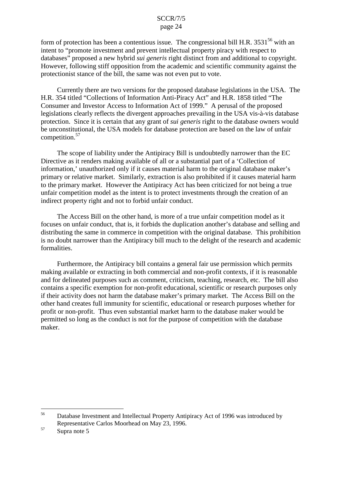However, following stiff opposition from the academic and scientific community against the form of protection has been a contentious issue. The congressional bill H.R.  $3531^{56}$  with an intent to "promote investment and prevent intellectual property piracy with respect to databases" proposed a new hybrid *sui generis* right distinct from and additional to copyright. protectionist stance of the bill, the same was not even put to vote.

 H.R. 354 titled "Collections of Information Anti-Piracy Act" and H.R. 1858 titled "The protection. Since it is certain that any grant of *sui generis* right to the database owners would Currently there are two versions for the proposed database legislations in the USA. The Consumer and Investor Access to Information Act of 1999." A perusal of the proposed legislations clearly reflects the divergent approaches prevailing in the USA vis-à-vis database be unconstitutional, the USA models for database protection are based on the law of unfair competition.<sup>57</sup>

 Directive as it renders making available of all or a substantial part of a 'Collection of unfair competition model as the intent is to protect investments through the creation of an indirect property right and not to forbid unfair conduct. The scope of liability under the Antipiracy Bill is undoubtedly narrower than the EC information,' unauthorized only if it causes material harm to the original database maker's primary or relative market. Similarly, extraction is also prohibited if it causes material harm to the primary market. However the Antipiracy Act has been criticized for not being a true

formalities. The Access Bill on the other hand, is more of a true unfair competition model as it focuses on unfair conduct, that is, it forbids the duplication another's database and selling and distributing the same in commerce in competition with the original database. This prohibition is no doubt narrower than the Antipiracy bill much to the delight of the research and academic

 other hand creates full immunity for scientific, educational or research purposes whether for maker Furthermore, the Antipiracy bill contains a general fair use permission which permits making available or extracting in both commercial and non-profit contexts, if it is reasonable and for delineated purposes such as comment, criticism, teaching, research, etc. The bill also contains a specific exemption for non-profit educational, scientific or research purposes only if their activity does not harm the database maker's primary market. The Access Bill on the profit or non-profit. Thus even substantial market harm to the database maker would be permitted so long as the conduct is not for the purpose of competition with the database <sub>56</sub> Database Investment and Intellectual Property Antipiracy Act of 1996 was introduced by

Representative Carlos Moorhead on May 23, 1996.

 $57$  Supra note 5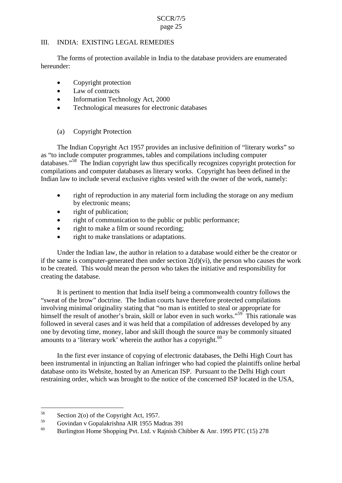# <span id="page-26-0"></span>III. INDIA: EXISTING LEGAL REMEDIES

The forms of protection available in India to the database providers are enumerated hereunder:

- $\bullet$  Copyright protection
- Law of contracts
- Information Technology Act, 2000
- Technological measures for electronic databases

# (a) Copyright Protection

databases."<sup>58</sup> The Indian copyright law thus specifically recognizes copyright protection for The Indian Copyright Act 1957 provides an inclusive definition of "literary works" so as "to include computer programmes, tables and compilations including computer compilations and computer databases as literary works. Copyright has been defined in the Indian law to include several exclusive rights vested with the owner of the work, namely:

- right of reproduction in any material form including the storage on any medium by electronic means;
- right of publication:
- right of communication to the public or public performance;
- right to make a film or sound recording;
- right to make translations or adaptations.

creating the database. Under the Indian law, the author in relation to a database would either be the creator or if the same is computer-generated then under section  $2(d)(vi)$ , the person who causes the work to be created. This would mean the person who takes the initiative and responsibility for

It is pertinent to mention that India itself being a commonwealth country follows the "sweat of the brow" doctrine. The Indian courts have therefore protected compilations involving minimal originality stating that "no man is entitled to steal or appropriate for himself the result of another's brain, skill or labor even in such works."<sup>59</sup> This rationale was followed in several cases and it was held that a compilation of addresses developed by any one by devoting time, money, labor and skill though the source may be commonly situated amounts to a 'literary work' wherein the author has a copyright.<sup>60</sup>

In the first ever instance of copying of electronic databases, the Delhi High Court has been instrumental in injuncting an Italian infringer who had copied the plaintiffs online herbal database onto its Website, hosted by an American ISP. Pursuant to the Delhi High court restraining order, which was brought to the notice of the concerned ISP located in the USA,

 $58$  Section 2(o) of the Copyright Act, 1957.

 $^{59}$  Govindan v Gopalakrishna AIR 1955 Madras 391

Burlington Home Shopping Pvt. Ltd. v Rajnish Chibber & Anr. 1995 PTC (15) 278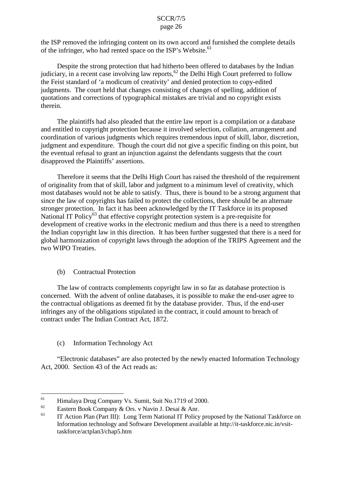the ISP removed the infringing content on its own accord and furnished the complete details of the infringer, who had rented space on the ISP's Website.<sup>61</sup>

Despite the strong protection that had hitherto been offered to databases by the Indian judiciary, in a recent case involving law reports,62 the Delhi High Court preferred to follow the Feist standard of 'a modicum of creativity' and denied protection to copy-edited judgments. The court held that changes consisting of changes of spelling, addition of quotations and corrections of typographical mistakes are trivial and no copyright exists therein.

 The plaintiffs had also pleaded that the entire law report is a compilation or a database and entitled to copyright protection because it involved selection, collation, arrangement and coordination of various judgments which requires tremendous input of skill, labor, discretion, judgment and expenditure. Though the court did not give a specific finding on this point, but the eventual refusal to grant an injunction against the defendants suggests that the court disapproved the Plaintiffs' assertions.

 global harmonization of copyright laws through the adoption of the TRIPS Agreement and the Therefore it seems that the Delhi High Court has raised the threshold of the requirement of originality from that of skill, labor and judgment to a minimum level of creativity, which most databases would not be able to satisfy. Thus, there is bound to be a strong argument that since the law of copyrights has failed to protect the collections, there should be an alternate stronger protection. In fact it has been acknowledged by the IT Taskforce in its proposed National IT Policy<sup>63</sup> that effective copyright protection system is a pre-requisite for development of creative works in the electronic medium and thus there is a need to strengthen the Indian copyright law in this direction. It has been further suggested that there is a need for two WIPO Treaties.

# (b) Contractual Protection

 The law of contracts complements copyright law in so far as database protection is the contractual obligations as deemed fit by the database provider. Thus, if the end-user concerned. With the advent of online databases, it is possible to make the end-user agree to infringes any of the obligations stipulated in the contract, it could amount to breach of contract under The Indian Contract Act, 1872.

# (c) Information Technology Act

 "Electronic databases" are also protected by the newly enacted Information Technology Act, 2000. Section 43 of the Act reads as:

<sup>&</sup>lt;sup>61</sup> Himalaya Drug Company Vs. Sumit, Suit No.1719 of 2000.

Eastern Book Company & Ors. v Navin J. Desai & Anr.

 Information technology and Software Development available at http://it-taskforce.nic.in/vsit-<sup>63</sup> IT Action Plan (Part III): Long Term National IT Policy proposed by the National Taskforce on taskforce/actplan3/chap5.htm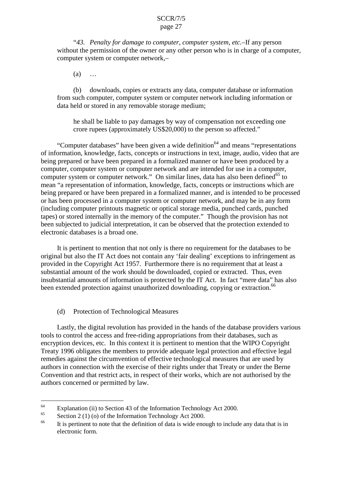"*43. Penalty for damage to computer, computer system, etc.*–If any person without the permission of the owner or any other person who is in charge of a computer, computer system or computer network,–

 $(a)$  …

(b) downloads, copies or extracts any data, computer database or information from such computer, computer system or computer network including information or data held or stored in any removable storage medium;

 crore rupees (approximately US\$20,000) to the person so affected." he shall be liable to pay damages by way of compensation not exceeding one

"Computer databases" have been given a wide definition<sup>64</sup> and means "representations" being prepared or have been prepared in a formalized manner or have been produced by a electronic databases is a broad one. of information, knowledge, facts, concepts or instructions in text, image, audio, video that are computer, computer system or computer network and are intended for use in a computer, computer system or computer network." On similar lines, data has also been defined<sup>65</sup> to mean "a representation of information, knowledge, facts, concepts or instructions which are being prepared or have been prepared in a formalized manner, and is intended to be processed or has been processed in a computer system or computer network, and may be in any form (including computer printouts magnetic or optical storage media, punched cards, punched tapes) or stored internally in the memory of the computer." Though the provision has not been subjected to judicial interpretation, it can be observed that the protection extended to

It is pertinent to mention that not only is there no requirement for the databases to be original but also the IT Act does not contain any 'fair dealing' exceptions to infringement as provided in the Copyright Act 1957. Furthermore there is no requirement that at least a substantial amount of the work should be downloaded, copied or extracted. Thus, even insubstantial amounts of information is protected by the IT Act. In fact "mere data" has also been extended protection against unauthorized downloading, copying or extraction.<sup>66</sup>

(d) Protection of Technological Measures

 authors in connection with the exercise of their rights under that Treaty or under the Berne Lastly, the digital revolution has provided in the hands of the database providers various tools to control the access and free-riding appropriations from their databases, such as encryption devices, etc. In this context it is pertinent to mention that the WIPO Copyright Treaty 1996 obligates the members to provide adequate legal protection and effective legal remedies against the circumvention of effective technological measures that are used by Convention and that restrict acts, in respect of their works, which are not authorised by the authors concerned or permitted by law.

Explanation (ii) to Section 43 of the Information Technology Act 2000.

 $^{65}$  Section 2 (1) (o) of the Information Technology Act 2000.

<sup>&</sup>lt;sup>66</sup> It is pertinent to note that the definition of data is wide enough to include any data that is in electronic form.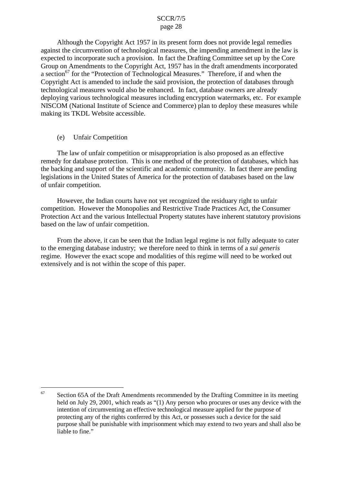<span id="page-29-0"></span> technological measures would also be enhanced. In fact, database owners are already deploying various technological measures including encryption watermarks, etc. For example making its TKDL Website accessible.<br>
(e) Unfair Competition Although the Copyright Act 1957 in its present form does not provide legal remedies against the circumvention of technological measures, the impending amendment in the law is expected to incorporate such a provision. In fact the Drafting Committee set up by the Core Group on Amendments to the Copyright Act, 1957 has in the draft amendments incorporated a section<sup>67</sup> for the "Protection of Technological Measures." Therefore, if and when the Copyright Act is amended to include the said provision, the protection of databases through NISCOM (National Institute of Science and Commerce) plan to deploy these measures while

The law of unfair competition or misappropriation is also proposed as an effective remedy for database protection. This is one method of the protection of databases, which has the backing and support of the scientific and academic community. In fact there are pending legislations in the United States of America for the protection of databases based on the law of unfair competition.

 However, the Indian courts have not yet recognized the residuary right to unfair competition. However the Monopolies and Restrictive Trade Practices Act, the Consumer Protection Act and the various Intellectual Property statutes have inherent statutory provisions based on the law of unfair competition.

 regime. However the exact scope and modalities of this regime will need to be worked out From the above, it can be seen that the Indian legal regime is not fully adequate to cater to the emerging database industry; we therefore need to think in terms of a *sui generis*  extensively and is not within the scope of this paper.

 intention of circumventing an effective technological measure applied for the purpose of protecting any of the rights conferred by this Act, or possesses such a device for the said Section 65A of the Draft Amendments recommended by the Drafting Committee in its meeting held on July 29, 2001, which reads as "(1) Any person who procures or uses any device with the purpose shall be punishable with imprisonment which may extend to two years and shall also be liable to fine." 67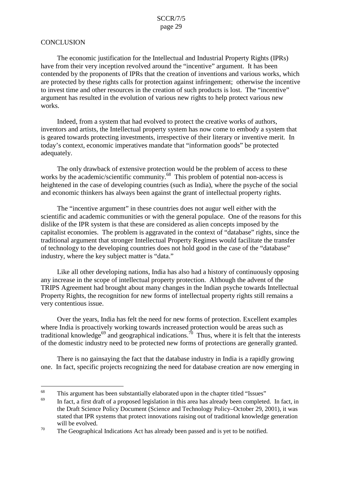# <span id="page-30-0"></span>**CONCLUSION**

The economic justification for the Intellectual and Industrial Property Rights (IPRs) have from their very inception revolved around the "incentive" argument. It has been contended by the proponents of IPRs that the creation of inventions and various works, which are protected by these rights calls for protection against infringement; otherwise the incentive to invest time and other resources in the creation of such products is lost. The "incentive" argument has resulted in the evolution of various new rights to help protect various new works.

 is geared towards protecting investments, irrespective of their literary or inventive merit. In adequately. Indeed, from a system that had evolved to protect the creative works of authors, inventors and artists, the Intellectual property system has now come to embody a system that today's context, economic imperatives mandate that "information goods" be protected

 adequately. The only drawback of extensive protection would be the problem of access to these heightened in the case of developing countries (such as India), where the psyche of the social works by the academic/scientific community.<sup>68</sup> This problem of potential non-access is and economic thinkers has always been against the grant of intellectual property rights.

 The "incentive argument" in these countries does not augur well either with the scientific and academic communities or with the general populace. One of the reasons for this dislike of the IPR system is that these are considered as alien concepts imposed by the capitalist economies. The problem is aggravated in the context of "database" rights, since the traditional argument that stronger Intellectual Property Regimes would facilitate the transfer of technology to the developing countries does not hold good in the case of the "database" industry, where the key subject matter is "data."

 TRIPS Agreement had brought about many changes in the Indian psyche towards Intellectual Like all other developing nations, India has also had a history of continuously opposing any increase in the scope of intellectual property protection. Although the advent of the Property Rights, the recognition for new forms of intellectual property rights still remains a very contentious issue.

 of the domestic industry need to be protected new forms of protections are generally granted. Over the years, India has felt the need for new forms of protection. Excellent examples where India is proactively working towards increased protection would be areas such as traditional knowledge<sup>69</sup> and geographical indications.<sup>70</sup> Thus, where it is felt that the interests

 There is no gainsaying the fact that the database industry in India is a rapidly growing one. In fact, specific projects recognizing the need for database creation are now emerging in

 $\frac{68}{69}$  This argument has been substantially elaborated upon in the chapter titled "Issues"

In fact, a first draft of a proposed legislation in this area has already been completed. In fact, in the Draft Science Policy Document (Science and Technology Policy–October 29, 2001), it was stated that IPR systems that protect innovations raising out of traditional knowledge generation will be evolved.

 $70$  The Geographical Indications Act has already been passed and is yet to be notified.